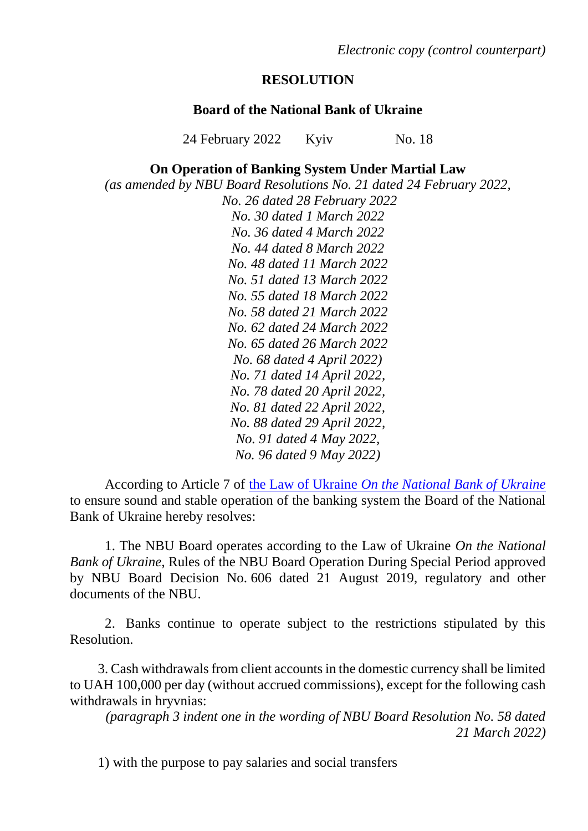*Electronic copy (control counterpart)*

## **RESOLUTION**

## **Board of the National Bank of Ukraine**

24 February 2022 Kyiv No. 18

## **On Operation of Banking System Under Martial Law**

*(as amended by NBU Board Resolutions No. 21 dated 24 February 2022,*

*No. 26 dated 28 February 2022 No. 30 dated 1 March 2022 No. 36 dated 4 March 2022 No. 44 dated 8 March 2022 No. 48 dated 11 March 2022 No. 51 dated 13 March 2022 No. 55 dated 18 March 2022 No. 58 dated 21 March 2022 No. 62 dated 24 March 2022 No. 65 dated 26 March 2022 No. 68 dated 4 April 2022) No. 71 dated 14 April 2022, No. 78 dated 20 April 2022, No. 81 dated 22 April 2022, No. 88 dated 29 April 2022, No. 91 dated 4 May 2022, No. 96 dated 9 May 2022)*

According to Article 7 of the Law of Ukraine *[On the National Bank of Ukraine](file:///d:/UsersNBU/005532/AppData/Local/Microsoft/Windows/INetCache/Content.Outlook/76LA6RS9/T990679.LHT%232+2020.12.03)* to ensure sound and stable operation of the banking system the Board of the National Bank of Ukraine hereby resolves:

1. The NBU Board operates according to the Law of Ukraine *On the National Bank of Ukraine*, Rules of the NBU Board Operation During Special Period approved by NBU Board Decision No. 606 dated 21 August 2019, regulatory and other documents of the NBU.

2. Banks continue to operate subject to the restrictions stipulated by this Resolution.

3. Cash withdrawals from client accounts in the domestic currency shall be limited to UAH 100,000 per day (without accrued commissions), except for the following cash withdrawals in hryvnias:

*(paragraph 3 indent one in the wording of NBU Board Resolution No. 58 dated 21 March 2022)*

1) with the purpose to pay salaries and social transfers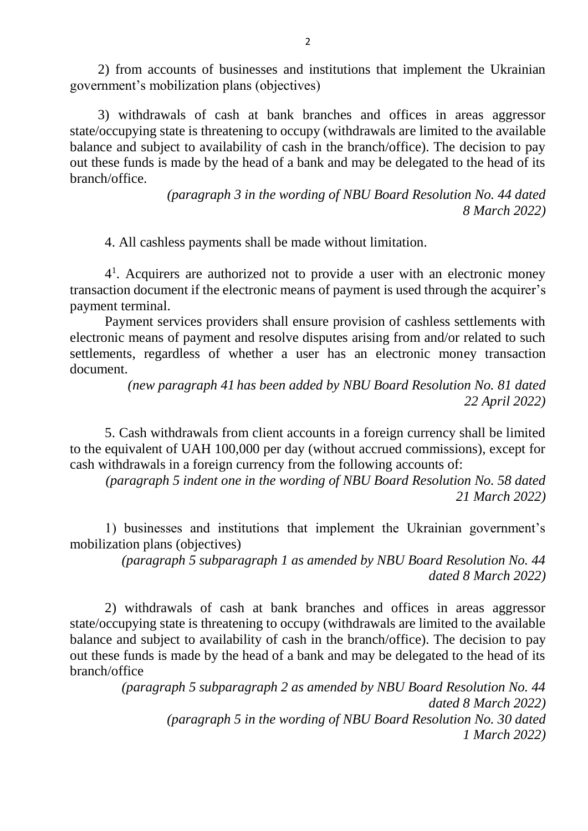2) from accounts of businesses and institutions that implement the Ukrainian government's mobilization plans (objectives)

3) withdrawals of cash at bank branches and offices in areas aggressor state/occupying state is threatening to occupy (withdrawals are limited to the available balance and subject to availability of cash in the branch/office). The decision to pay out these funds is made by the head of a bank and may be delegated to the head of its branch/office.

> *(paragraph 3 in the wording of NBU Board Resolution No. 44 dated 8 March 2022)*

4. All cashless payments shall be made without limitation.

4 1 . Acquirers are authorized not to provide a user with an electronic money transaction document if the electronic means of payment is used through the acquirer's payment terminal.

Payment services providers shall ensure provision of cashless settlements with electronic means of payment and resolve disputes arising from and/or related to such settlements, regardless of whether a user has an electronic money transaction document.

> *(new paragraph 41 has been added by NBU Board Resolution No. 81 dated 22 April 2022)*

5. Cash withdrawals from client accounts in a foreign currency shall be limited to the equivalent of UAH 100,000 per day (without accrued commissions), except for cash withdrawals in a foreign currency from the following accounts of:

*(paragraph 5 indent one in the wording of NBU Board Resolution No. 58 dated 21 March 2022)*

1) businesses and institutions that implement the Ukrainian government's mobilization plans (objectives)

> *(paragraph 5 subparagraph 1 as amended by NBU Board Resolution No. 44 dated 8 March 2022)*

2) withdrawals of cash at bank branches and offices in areas aggressor state/occupying state is threatening to occupy (withdrawals are limited to the available balance and subject to availability of cash in the branch/office). The decision to pay out these funds is made by the head of a bank and may be delegated to the head of its branch/office

> *(paragraph 5 subparagraph 2 as amended by NBU Board Resolution No. 44 dated 8 March 2022) (paragraph 5 in the wording of NBU Board Resolution No. 30 dated 1 March 2022)*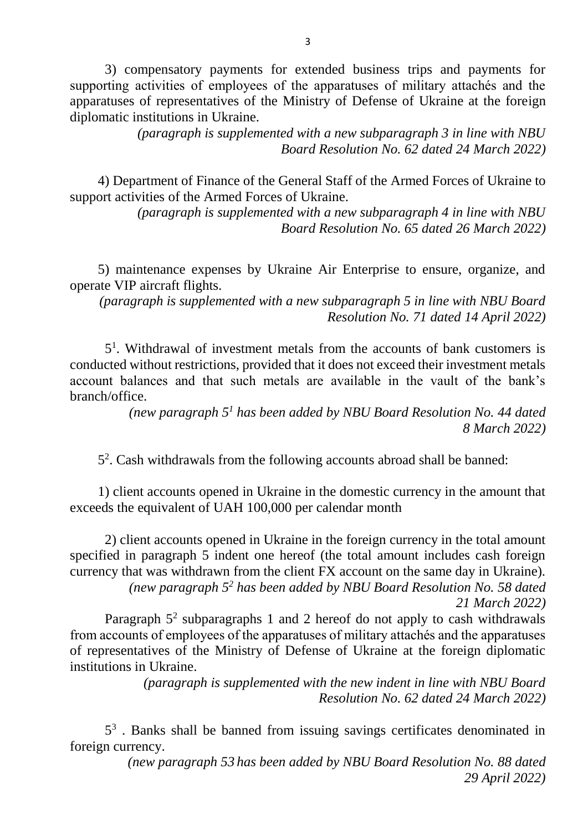3) compensatory payments for extended business trips and payments for supporting activities of employees of the apparatuses of military attachés and the apparatuses of representatives of the Ministry of Defense of Ukraine at the foreign diplomatic institutions in Ukraine.

> *(paragraph is supplemented with a new subparagraph 3 in line with NBU Board Resolution No. 62 dated 24 March 2022)*

4) Department of Finance of the General Staff of the Armed Forces of Ukraine to support activities of the Armed Forces of Ukraine.

> *(paragraph is supplemented with a new subparagraph 4 in line with NBU Board Resolution No. 65 dated 26 March 2022)*

5) maintenance expenses by Ukraine Air Enterprise to ensure, organize, and operate VIP aircraft flights.

*(paragraph is supplemented with a new subparagraph 5 in line with NBU Board Resolution No. 71 dated 14 April 2022)*

5 1 . Withdrawal of investment metals from the accounts of bank customers is conducted without restrictions, provided that it does not exceed their investment metals account balances and that such metals are available in the vault of the bank's branch/office.

> *(new paragraph 5<sup>1</sup> has been added by NBU Board Resolution No. 44 dated 8 March 2022)*

5 2 . Cash withdrawals from the following accounts abroad shall be banned:

1) client accounts opened in Ukraine in the domestic currency in the amount that exceeds the equivalent of UAH 100,000 per calendar month

2) client accounts opened in Ukraine in the foreign currency in the total amount specified in paragraph 5 indent one hereof (the total amount includes cash foreign currency that was withdrawn from the client FX account on the same day in Ukraine). *(new paragraph 5<sup>2</sup> has been added by NBU Board Resolution No. 58 dated* 

*21 March 2022)*

Paragraph  $5<sup>2</sup>$  subparagraphs 1 and 2 hereof do not apply to cash withdrawals from accounts of employees of the apparatuses of military attachés and the apparatuses of representatives of the Ministry of Defense of Ukraine at the foreign diplomatic institutions in Ukraine.

> *(paragraph is supplemented with the new indent in line with NBU Board Resolution No. 62 dated 24 March 2022)*

5<sup>3</sup>. Banks shall be banned from issuing savings certificates denominated in foreign currency.

> *(new paragraph 53 has been added by NBU Board Resolution No. 88 dated 29 April 2022)*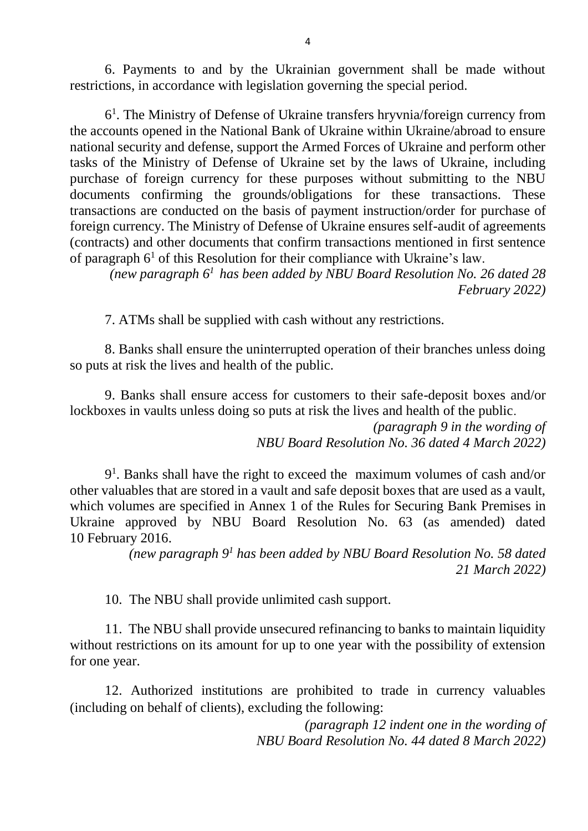6. Payments to and by the Ukrainian government shall be made without restrictions, in accordance with legislation governing the special period.

6 1 . The Ministry of Defense of Ukraine transfers hryvnia/foreign currency from the accounts opened in the National Bank of Ukraine within Ukraine/abroad to ensure national security and defense, support the Armed Forces of Ukraine and perform other tasks of the Ministry of Defense of Ukraine set by the laws of Ukraine, including purchase of foreign currency for these purposes without submitting to the NBU documents confirming the grounds/obligations for these transactions. These transactions are conducted on the basis of payment instruction/order for purchase of foreign currency. The Ministry of Defense of Ukraine ensures self-audit of agreements (contracts) and other documents that confirm transactions mentioned in first sentence of paragraph  $6<sup>1</sup>$  of this Resolution for their compliance with Ukraine's law.

*(new paragraph 6<sup>1</sup>has been added by NBU Board Resolution No. 26 dated 28 February 2022)*

7. ATMs shall be supplied with cash without any restrictions.

8. Banks shall ensure the uninterrupted operation of their branches unless doing so puts at risk the lives and health of the public.

9. Banks shall ensure access for customers to their safe-deposit boxes and/or lockboxes in vaults unless doing so puts at risk the lives and health of the public.

> *(paragraph 9 in the wording of NBU Board Resolution No. 36 dated 4 March 2022)*

9 1 . Banks shall have the right to exceed the maximum volumes of cash and/or other valuables that are stored in a vault and safe deposit boxes that are used as a vault, which volumes are specified in Annex 1 of the Rules for Securing Bank Premises in Ukraine approved by NBU Board Resolution No. 63 (as amended) dated 10 February 2016.

> *(new paragraph 9<sup>1</sup> has been added by NBU Board Resolution No. 58 dated 21 March 2022)*

10. The NBU shall provide unlimited cash support.

11. The NBU shall provide unsecured refinancing to banks to maintain liquidity without restrictions on its amount for up to one year with the possibility of extension for one year.

12. Authorized institutions are prohibited to trade in currency valuables (including on behalf of clients), excluding the following:

> *(paragraph 12 indent one in the wording of NBU Board Resolution No. 44 dated 8 March 2022)*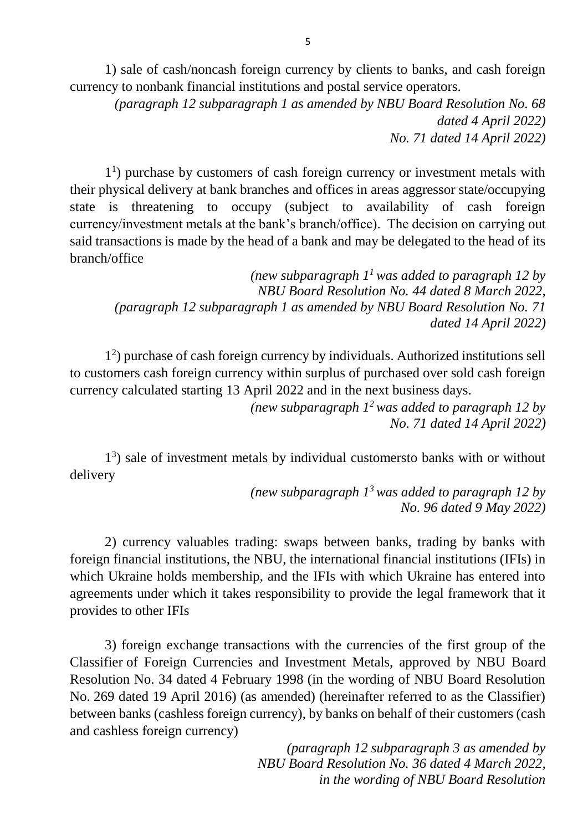1) sale of cash/noncash foreign currency by clients to banks, and cash foreign currency to nonbank financial institutions and postal service operators.

*(paragraph 12 subparagraph 1 as amended by NBU Board Resolution No. 68 dated 4 April 2022) No. 71 dated 14 April 2022)* 

1 1 ) purchase by customers of cash foreign currency or investment metals with their physical delivery at bank branches and offices in areas aggressor state/occupying state is threatening to occupy (subject to availability of cash foreign currency/investment metals at the bank's branch/office). The decision on carrying out said transactions is made by the head of a bank and may be delegated to the head of its branch/office

*(new subparagraph 1<sup>1</sup>was added to paragraph 12 by NBU Board Resolution No. 44 dated 8 March 2022, (paragraph 12 subparagraph 1 as amended by NBU Board Resolution No. 71 dated 14 April 2022)*

1 2 ) purchase of cash foreign currency by individuals. Authorized institutions sell to customers cash foreign currency within surplus of purchased over sold cash foreign currency calculated starting 13 April 2022 and in the next business days.

> *(new subparagraph 1<sup>2</sup>was added to paragraph 12 by No. 71 dated 14 April 2022)*

1 3 ) sale of investment metals by individual customersto banks with or without delivery

> *(new subparagraph 1<sup>3</sup>was added to paragraph 12 by No. 96 dated 9 May 2022)*

2) currency valuables trading: swaps between banks, trading by banks with foreign financial institutions, the NBU, the international financial institutions (IFIs) in which Ukraine holds membership, and the IFIs with which Ukraine has entered into agreements under which it takes responsibility to provide the legal framework that it provides to other IFIs

3) foreign exchange transactions with the currencies of the first group of the Classifier of Foreign Currencies and Investment Metals, approved by NBU Board Resolution No. 34 dated 4 February 1998 (in the wording of NBU Board Resolution No. 269 dated 19 April 2016) (as amended) (hereinafter referred to as the Classifier) between banks (cashless foreign currency), by banks on behalf of their customers (cash and cashless foreign currency)

> *(paragraph 12 subparagraph 3 as amended by NBU Board Resolution No. 36 dated 4 March 2022, in the wording of NBU Board Resolution*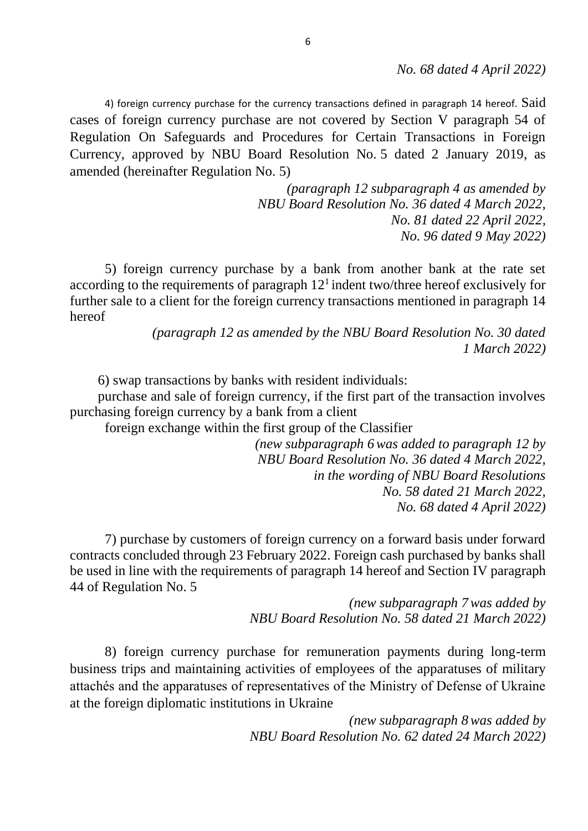*No. 68 dated 4 April 2022)*

4) foreign currency purchase for the currency transactions defined in paragraph 14 hereof. Said cases of foreign currency purchase are not covered by Section V paragraph 54 of Regulation On Safeguards and Procedures for Certain Transactions in Foreign Currency, approved by NBU Board Resolution No. 5 dated 2 January 2019, as amended (hereinafter Regulation No. 5)

> *(paragraph 12 subparagraph 4 as amended by NBU Board Resolution No. 36 dated 4 March 2022, No. 81 dated 22 April 2022, No. 96 dated 9 May 2022)*

5) foreign currency purchase by a bank from another bank at the rate set according to the requirements of paragraph  $12<sup>1</sup>$  indent two/three hereof exclusively for further sale to a client for the foreign currency transactions mentioned in paragraph 14 hereof

> *(paragraph 12 as amended by the NBU Board Resolution No. 30 dated 1 March 2022)*

6) swap transactions by banks with resident individuals:

purchase and sale of foreign currency, if the first part of the transaction involves purchasing foreign currency by a bank from a client

foreign exchange within the first group of the Classifier

*(new subparagraph 6was added to paragraph 12 by NBU Board Resolution No. 36 dated 4 March 2022, in the wording of NBU Board Resolutions No. 58 dated 21 March 2022, No. 68 dated 4 April 2022)*

7) purchase by customers of foreign currency on a forward basis under forward contracts concluded through 23 February 2022. Foreign cash purchased by banks shall be used in line with the requirements of paragraph 14 hereof and Section IV paragraph 44 of Regulation No. 5

> *(new subparagraph 7was added by NBU Board Resolution No. 58 dated 21 March 2022)*

8) foreign currency purchase for remuneration payments during long-term business trips and maintaining activities of employees of the apparatuses of military attachés and the apparatuses of representatives of the Ministry of Defense of Ukraine at the foreign diplomatic institutions in Ukraine

> *(new subparagraph 8was added by NBU Board Resolution No. 62 dated 24 March 2022)*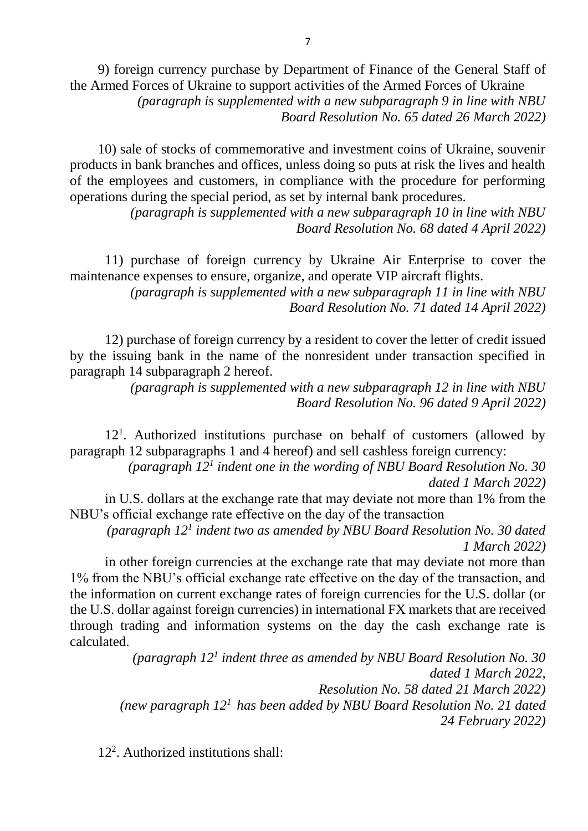9) foreign currency purchase by Department of Finance of the General Staff of the Armed Forces of Ukraine to support activities of the Armed Forces of Ukraine *(paragraph is supplemented with a new subparagraph 9 in line with NBU Board Resolution No. 65 dated 26 March 2022)*

10) sale of stocks of commemorative and investment coins of Ukraine, souvenir products in bank branches and offices, unless doing so puts at risk the lives and health of the employees and customers, in compliance with the procedure for performing operations during the special period, as set by internal bank procedures.

> *(paragraph is supplemented with a new subparagraph 10 in line with NBU Board Resolution No. 68 dated 4 April 2022)*

11) purchase of foreign currency by Ukraine Air Enterprise to cover the maintenance expenses to ensure, organize, and operate VIP aircraft flights.

> *(paragraph is supplemented with a new subparagraph 11 in line with NBU Board Resolution No. 71 dated 14 April 2022)*

12) purchase of foreign currency by a resident to cover the letter of credit issued by the issuing bank in the name of the nonresident under transaction specified in paragraph 14 subparagraph 2 hereof.

> *(paragraph is supplemented with a new subparagraph 12 in line with NBU Board Resolution No. 96 dated 9 April 2022)*

12<sup>1</sup>. Authorized institutions purchase on behalf of customers (allowed by paragraph 12 subparagraphs 1 and 4 hereof) and sell cashless foreign currency:

*(paragraph 12<sup>1</sup> indent one in the wording of NBU Board Resolution No. 30 dated 1 March 2022)*

in U.S. dollars at the exchange rate that may deviate not more than 1% from the NBU's official exchange rate effective on the day of the transaction

*(paragraph 12<sup>1</sup> indent two as amended by NBU Board Resolution No. 30 dated 1 March 2022)*

in other foreign currencies at the exchange rate that may deviate not more than 1% from the NBU's official exchange rate effective on the day of the transaction, and the information on current exchange rates of foreign currencies for the U.S. dollar (or the U.S. dollar against foreign currencies) in international FX markets that are received through trading and information systems on the day the cash exchange rate is calculated.

> *(paragraph 12<sup>1</sup> indent three as amended by NBU Board Resolution No. 30 dated 1 March 2022, Resolution No. 58 dated 21 March 2022) (new paragraph 12<sup>1</sup>has been added by NBU Board Resolution No. 21 dated 24 February 2022)*

12<sup>2</sup> . Authorized institutions shall: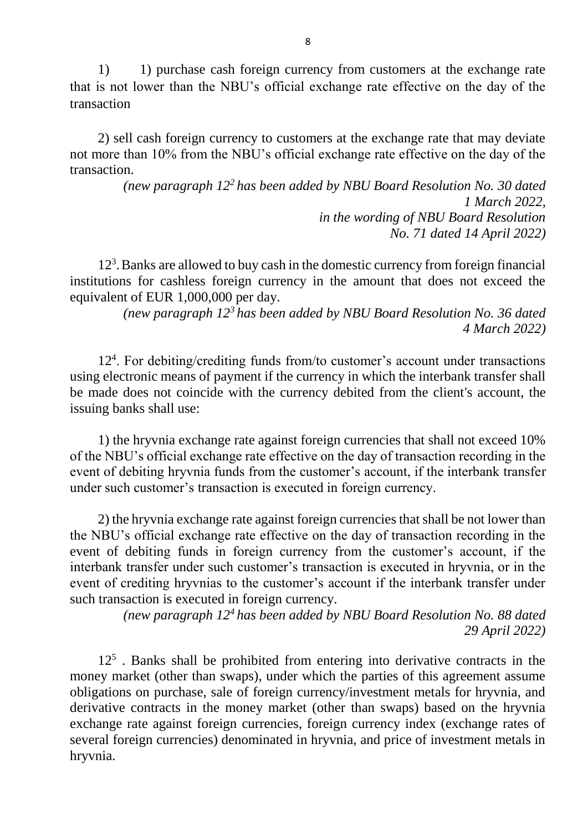1) 1) purchase cash foreign currency from customers at the exchange rate that is not lower than the NBU's official exchange rate effective on the day of the transaction

2) sell cash foreign currency to customers at the exchange rate that may deviate not more than 10% from the NBU's official exchange rate effective on the day of the transaction.

> *(new paragraph 12<sup>2</sup>has been added by NBU Board Resolution No. 30 dated 1 March 2022, in the wording of NBU Board Resolution No. 71 dated 14 April 2022)*

12<sup>3</sup> .Banks are allowed to buy cash in the domestic currency from foreign financial institutions for cashless foreign currency in the amount that does not exceed the equivalent of EUR 1,000,000 per day.

*(new paragraph 12<sup>3</sup>has been added by NBU Board Resolution No. 36 dated 4 March 2022)*

12<sup>4</sup> . For debiting/crediting funds from/to customer's account under transactions using electronic means of payment if the currency in which the interbank transfer shall be made does not coincide with the currency debited from the client's account, the issuing banks shall use:

1) the hryvnia exchange rate against foreign currencies that shall not exceed 10% of the NBU's official exchange rate effective on the day of transaction recording in the event of debiting hryvnia funds from the customer's account, if the interbank transfer under such customer's transaction is executed in foreign currency.

2) the hryvnia exchange rate against foreign currencies that shall be not lower than the NBU's official exchange rate effective on the day of transaction recording in the event of debiting funds in foreign currency from the customer's account, if the interbank transfer under such customer's transaction is executed in hryvnia, or in the event of crediting hryvnias to the customer's account if the interbank transfer under such transaction is executed in foreign currency.

*(new paragraph 12<sup>4</sup>has been added by NBU Board Resolution No. 88 dated 29 April 2022)* 

12<sup>5</sup>. Banks shall be prohibited from entering into derivative contracts in the money market (other than swaps), under which the parties of this agreement assume obligations on purchase, sale of foreign currency/investment metals for hryvnia, and derivative contracts in the money market (other than swaps) based on the hryvnia exchange rate against foreign currencies, foreign currency index (exchange rates of several foreign currencies) denominated in hryvnia, and price of investment metals in hryvnia.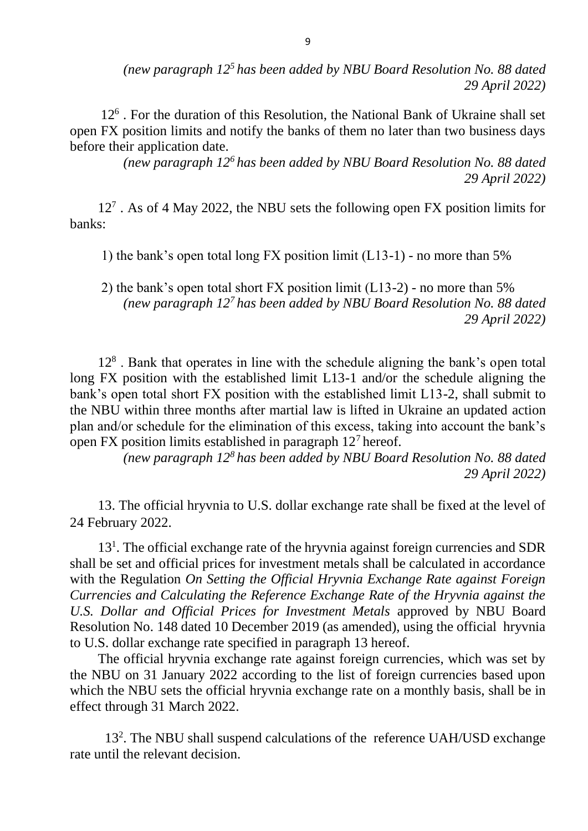*(new paragraph 12<sup>5</sup>has been added by NBU Board Resolution No. 88 dated 29 April 2022)* 

12<sup>6</sup>. For the duration of this Resolution, the National Bank of Ukraine shall set open FX position limits and notify the banks of them no later than two business days before their application date.

> *(new paragraph 12<sup>6</sup>has been added by NBU Board Resolution No. 88 dated 29 April 2022)*

12<sup>7</sup> . As of 4 May 2022, the NBU sets the following open FX position limits for banks:

1) the bank's open total long FX position limit (L13-1) - no more than 5%

2) the bank's open total short FX position limit (L13-2) - no more than 5% *(new paragraph 12<sup>7</sup>has been added by NBU Board Resolution No. 88 dated 29 April 2022)* 

12<sup>8</sup>. Bank that operates in line with the schedule aligning the bank's open total long FX position with the established limit L13-1 and/or the schedule aligning the bank's open total short FX position with the established limit L13-2, shall submit to the NBU within three months after martial law is lifted in Ukraine an updated action plan and/or schedule for the elimination of this excess, taking into account the bank's open FX position limits established in paragraph  $12<sup>7</sup>$  hereof.

> *(new paragraph 12<sup>8</sup>has been added by NBU Board Resolution No. 88 dated 29 April 2022)*

13. The official hryvnia to U.S. dollar exchange rate shall be fixed at the level of 24 February 2022.

13<sup>1</sup>. The official exchange rate of the hryvnia against foreign currencies and SDR shall be set and official prices for investment metals shall be calculated in accordance with the Regulation *On Setting the Official Hryvnia Exchange Rate against Foreign Currencies and Calculating the Reference Exchange Rate of the Hryvnia against the U.S. Dollar and Official Prices for Investment Metals* approved by NBU Board Resolution No. 148 dated 10 December 2019 (as amended), using the official hryvnia to U.S. dollar exchange rate specified in paragraph 13 hereof.

The official hryvnia exchange rate against foreign currencies, which was set by the NBU on 31 January 2022 according to the list of foreign currencies based upon which the NBU sets the official hryvnia exchange rate on a monthly basis, shall be in effect through 31 March 2022.

13<sup>2</sup> . The NBU shall suspend calculations of the reference UAH/USD exchange rate until the relevant decision.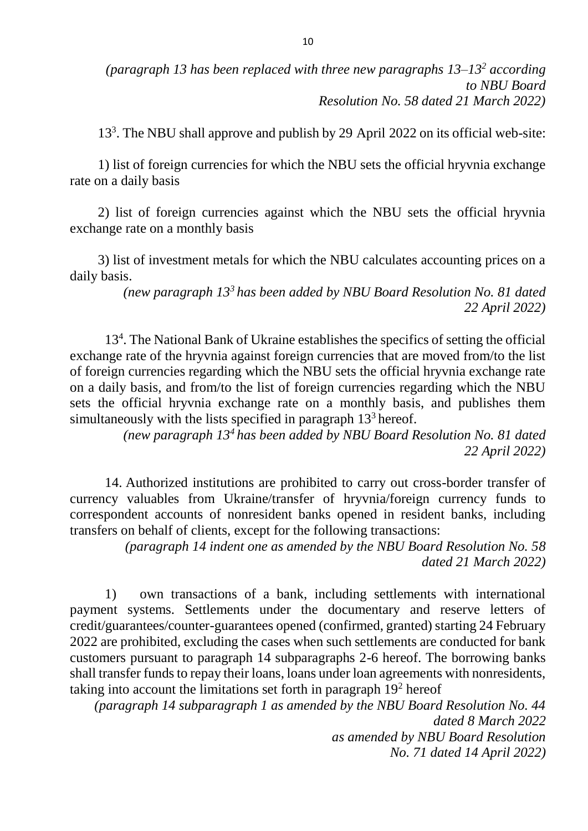*(paragraph 13 has been replaced with three new paragraphs 13–13<sup>2</sup> according to NBU Board Resolution No. 58 dated 21 March 2022)* 

13<sup>3</sup> . The NBU shall approve and publish by 29 April 2022 on its official web-site:

1) list of foreign currencies for which the NBU sets the official hryvnia exchange rate on a daily basis

2) list of foreign currencies against which the NBU sets the official hryvnia exchange rate on a monthly basis

3) list of investment metals for which the NBU calculates accounting prices on a daily basis.

> *(new paragraph 13<sup>3</sup>has been added by NBU Board Resolution No. 81 dated 22 April 2022)*

13<sup>4</sup> . The National Bank of Ukraine establishes the specifics of setting the official exchange rate of the hryvnia against foreign currencies that are moved from/to the list of foreign currencies regarding which the NBU sets the official hryvnia exchange rate on a daily basis, and from/to the list of foreign currencies regarding which the NBU sets the official hryvnia exchange rate on a monthly basis, and publishes them simultaneously with the lists specified in paragraph  $13<sup>3</sup>$  hereof.

> *(new paragraph 13<sup>4</sup>has been added by NBU Board Resolution No. 81 dated 22 April 2022)*

14. Authorized institutions are prohibited to carry out cross-border transfer of currency valuables from Ukraine/transfer of hryvnia/foreign currency funds to correspondent accounts of nonresident banks opened in resident banks, including transfers on behalf of clients, except for the following transactions:

> *(paragraph 14 indent one as amended by the NBU Board Resolution No. 58 dated 21 March 2022)*

1) own transactions of a bank, including settlements with international payment systems. Settlements under the documentary and reserve letters of credit/guarantees/counter-guarantees opened (confirmed, granted) starting 24 February 2022 are prohibited, excluding the cases when such settlements are conducted for bank customers pursuant to paragraph 14 subparagraphs 2-6 hereof. The borrowing banks shall transfer funds to repay their loans, loans under loan agreements with nonresidents, taking into account the limitations set forth in paragraph 19<sup>2</sup> hereof

*(paragraph 14 subparagraph 1 as amended by the NBU Board Resolution No. 44 dated 8 March 2022 as amended by NBU Board Resolution No. 71 dated 14 April 2022)*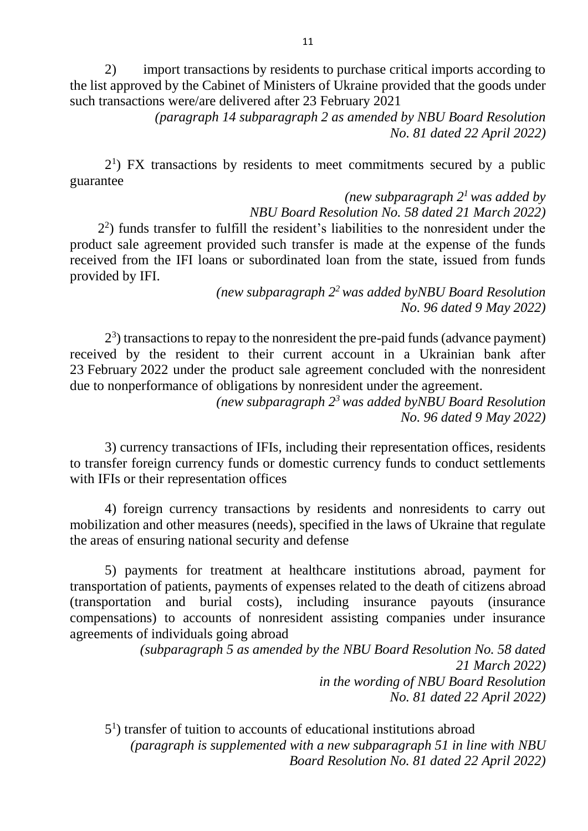2) import transactions by residents to purchase critical imports according to the list approved by the Cabinet of Ministers of Ukraine provided that the goods under such transactions were/are delivered after 23 February 2021

> *(paragraph 14 subparagraph 2 as amended by NBU Board Resolution No. 81 dated 22 April 2022)*

2<sup>1</sup>) FX transactions by residents to meet commitments secured by a public guarantee

*(new subparagraph 2<sup>1</sup>was added by NBU Board Resolution No. 58 dated 21 March 2022)* 2 2 ) funds transfer to fulfill the resident's liabilities to the nonresident under the product sale agreement provided such transfer is made at the expense of the funds received from the IFI loans or subordinated loan from the state, issued from funds provided by IFI.

*(new subparagraph 2<sup>2</sup>was added byNBU Board Resolution No. 96 dated 9 May 2022)*

 $2<sup>3</sup>$ ) transactions to repay to the nonresident the pre-paid funds (advance payment) received by the resident to their current account in a Ukrainian bank after 23 February 2022 under the product sale agreement concluded with the nonresident due to nonperformance of obligations by nonresident under the agreement.

*(new subparagraph 2<sup>3</sup>was added byNBU Board Resolution No. 96 dated 9 May 2022)*

3) currency transactions of IFIs, including their representation offices, residents to transfer foreign currency funds or domestic currency funds to conduct settlements with IFIs or their representation offices

4) foreign currency transactions by residents and nonresidents to carry out mobilization and other measures (needs), specified in the laws of Ukraine that regulate the areas of ensuring national security and defense

5) payments for treatment at healthcare institutions abroad, payment for transportation of patients, payments of expenses related to the death of citizens abroad (transportation and burial costs), including insurance payouts (insurance compensations) to accounts of nonresident assisting companies under insurance agreements of individuals going abroad

> *(subparagraph 5 as amended by the NBU Board Resolution No. 58 dated 21 March 2022) in the wording of NBU Board Resolution No. 81 dated 22 April 2022)*

5 1 ) transfer of tuition to accounts of educational institutions abroad *(paragraph is supplemented with a new subparagraph 51 in line with NBU Board Resolution No. 81 dated 22 April 2022)*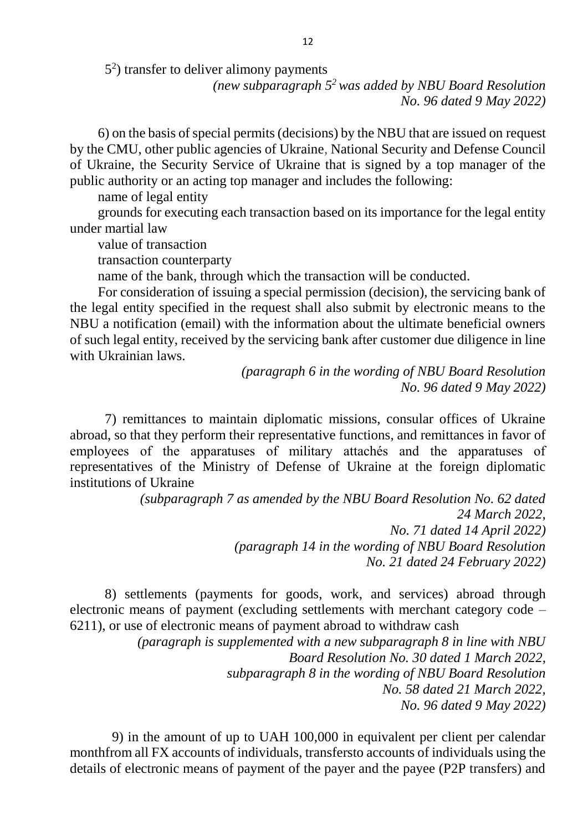5 2 ) transfer to deliver alimony payments

*(new subparagraph 5<sup>2</sup>was added by NBU Board Resolution No. 96 dated 9 May 2022)*

6) on the basis of special permits (decisions) by the NBU that are issued on request by the CMU, other public agencies of Ukraine, National Security and Defense Council of Ukraine, the Security Service of Ukraine that is signed by a top manager of the public authority or an acting top manager and includes the following:

name of legal entity

grounds for executing each transaction based on its importance for the legal entity under martial law

value of transaction

transaction counterparty

name of the bank, through which the transaction will be conducted.

For consideration of issuing a special permission (decision), the servicing bank of the legal entity specified in the request shall also submit by electronic means to the NBU a notification (email) with the information about the ultimate beneficial owners of such legal entity, received by the servicing bank after customer due diligence in line with Ukrainian laws.

> *(paragraph 6 in the wording of NBU Board Resolution No. 96 dated 9 May 2022)*

7) remittances to maintain diplomatic missions, consular offices of Ukraine abroad, so that they perform their representative functions, and remittances in favor of employees of the apparatuses of military attachés and the apparatuses of representatives of the Ministry of Defense of Ukraine at the foreign diplomatic institutions of Ukraine

> *(subparagraph 7 as amended by the NBU Board Resolution No. 62 dated 24 March 2022, No. 71 dated 14 April 2022) (paragraph 14 in the wording of NBU Board Resolution No. 21 dated 24 February 2022)*

8) settlements (payments for goods, work, and services) abroad through electronic means of payment (excluding settlements with merchant category code – 6211), or use of electronic means of payment abroad to withdraw cash

> *(paragraph is supplemented with a new subparagraph 8 in line with NBU Board Resolution No. 30 dated 1 March 2022, subparagraph 8 in the wording of NBU Board Resolution No. 58 dated 21 March 2022, No. 96 dated 9 May 2022)*

9) in the amount of up to UAH 100,000 in equivalent per client per calendar monthfrom all FX accounts of individuals, transfersto accounts of individuals using the details of electronic means of payment of the payer and the payee (P2P transfers) and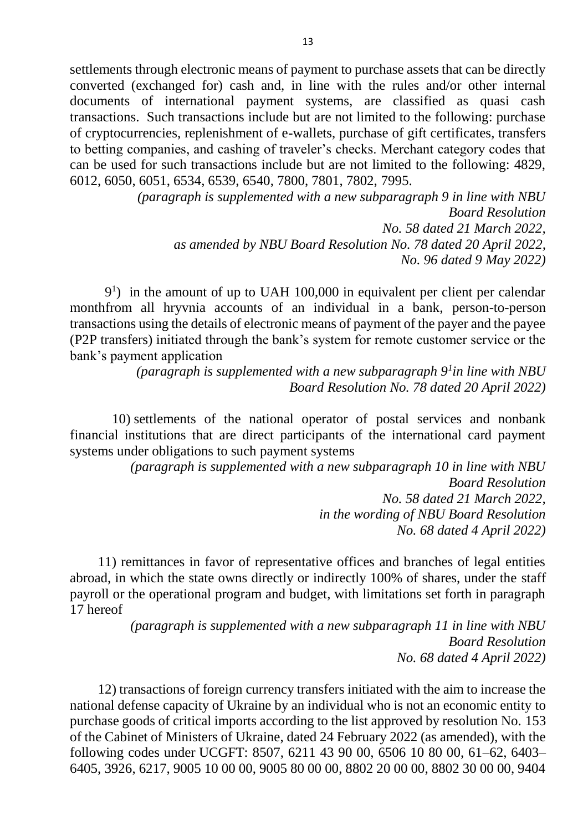settlements through electronic means of payment to purchase assets that can be directly converted (exchanged for) cash and, in line with the rules and/or other internal documents of international payment systems, are classified as quasi cash transactions. Such transactions include but are not limited to the following: purchase of cryptocurrencies, replenishment of e-wallets, purchase of gift certificates, transfers to betting companies, and cashing of traveler's checks. Merchant category codes that can be used for such transactions include but are not limited to the following: 4829, 6012, 6050, 6051, 6534, 6539, 6540, 7800, 7801, 7802, 7995.

> *(paragraph is supplemented with a new subparagraph 9 in line with NBU Board Resolution No. 58 dated 21 March 2022, as amended by NBU Board Resolution No. 78 dated 20 April 2022, No. 96 dated 9 May 2022)*

9 1 ) in the amount of up to UAH 100,000 in equivalent per client per calendar monthfrom all hryvnia accounts of an individual in a bank, person-to-person transactions using the details of electronic means of payment of the payer and the payee (P2P transfers) initiated through the bank's system for remote customer service or the bank's payment application

> (paragraph is supplemented with a new subparagraph  $9<sup>1</sup>$ in line with NBU *Board Resolution No. 78 dated 20 April 2022)*

10) settlements of the national operator of postal services and nonbank financial institutions that are direct participants of the international card payment systems under obligations to such payment systems

> *(paragraph is supplemented with a new subparagraph 10 in line with NBU Board Resolution No. 58 dated 21 March 2022, in the wording of NBU Board Resolution No. 68 dated 4 April 2022)*

11) remittances in favor of representative offices and branches of legal entities abroad, in which the state owns directly or indirectly 100% of shares, under the staff payroll or the operational program and budget, with limitations set forth in paragraph 17 hereof

> *(paragraph is supplemented with a new subparagraph 11 in line with NBU Board Resolution No. 68 dated 4 April 2022)*

12) transactions of foreign currency transfers initiated with the aim to increase the national defense capacity of Ukraine by an individual who is not an economic entity to purchase goods of critical imports according to the list approved by resolution No. 153 of the Cabinet of Ministers of Ukraine, dated 24 February 2022 (as amended), with the following codes under UCGFT: 8507, 6211 43 90 00, 6506 10 80 00, 61–62, 6403– 6405, 3926, 6217, 9005 10 00 00, 9005 80 00 00, 8802 20 00 00, 8802 30 00 00, 9404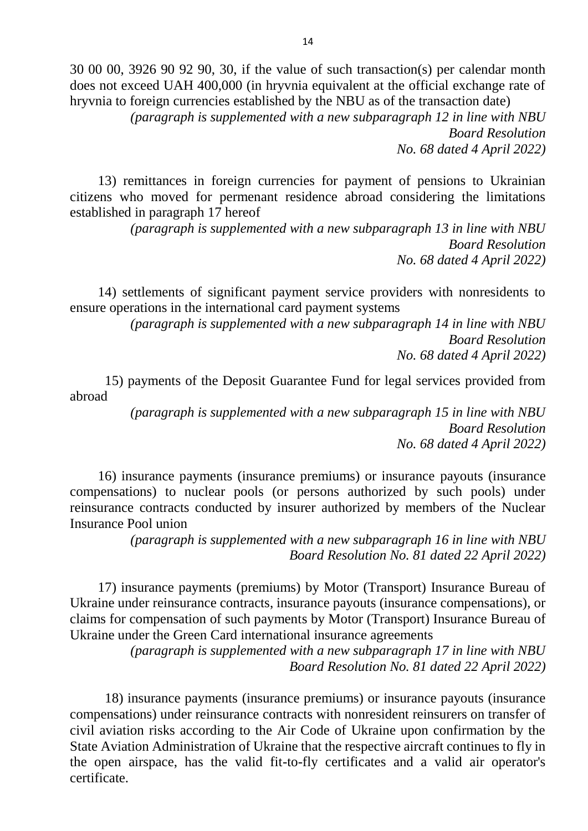30 00 00, 3926 90 92 90, 30, if the value of such transaction(s) per calendar month does not exceed UAH 400,000 (in hryvnia equivalent at the official exchange rate of hryvnia to foreign currencies established by the NBU as of the transaction date)

*(paragraph is supplemented with a new subparagraph 12 in line with NBU Board Resolution No. 68 dated 4 April 2022)*

13) remittances in foreign currencies for payment of pensions to Ukrainian citizens who moved for permenant residence abroad considering the limitations established in paragraph 17 hereof

> *(paragraph is supplemented with a new subparagraph 13 in line with NBU Board Resolution No. 68 dated 4 April 2022)*

14) settlements of significant payment service providers with nonresidents to ensure operations in the international card payment systems

> *(paragraph is supplemented with a new subparagraph 14 in line with NBU Board Resolution No. 68 dated 4 April 2022)*

15) payments of the Deposit Guarantee Fund for legal services provided from abroad

> *(paragraph is supplemented with a new subparagraph 15 in line with NBU Board Resolution No. 68 dated 4 April 2022)*

16) insurance payments (insurance premiums) or insurance payouts (insurance compensations) to nuclear pools (or persons authorized by such pools) under reinsurance contracts conducted by insurer authorized by members of the Nuclear Insurance Pool union

> *(paragraph is supplemented with a new subparagraph 16 in line with NBU Board Resolution No. 81 dated 22 April 2022)*

17) insurance payments (premiums) by Motor (Transport) Insurance Bureau of Ukraine under reinsurance contracts, insurance payouts (insurance compensations), or claims for compensation of such payments by Motor (Transport) Insurance Bureau of Ukraine under the Green Card international insurance agreements

> *(paragraph is supplemented with a new subparagraph 17 in line with NBU Board Resolution No. 81 dated 22 April 2022)*

18) insurance payments (insurance premiums) or insurance payouts (insurance compensations) under reinsurance contracts with nonresident reinsurers on transfer of civil aviation risks according to the Air Code of Ukraine upon confirmation by the State Aviation Administration of Ukraine that the respective aircraft continues to fly in the open airspace, has the valid fit-to-fly certificates and a valid air operator's certificate.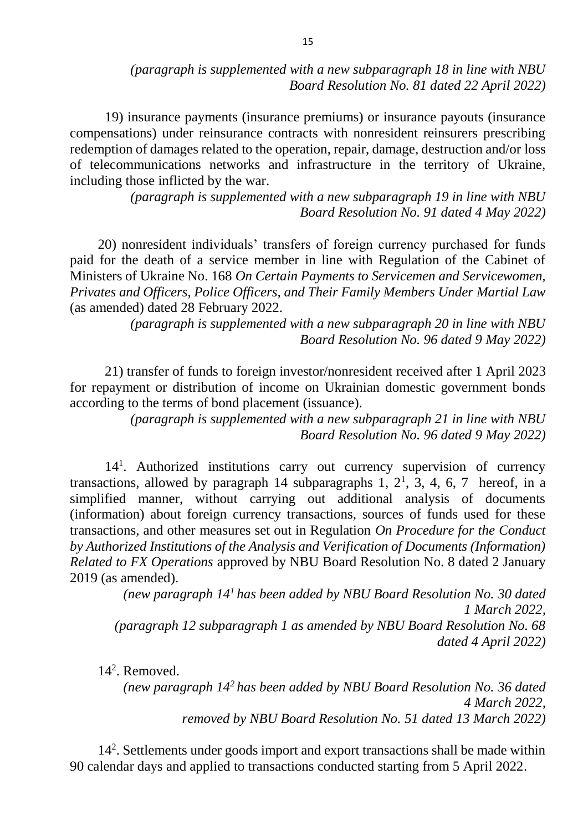*(paragraph is supplemented with a new subparagraph 18 in line with NBU Board Resolution No. 81 dated 22 April 2022)*

19) insurance payments (insurance premiums) or insurance payouts (insurance compensations) under reinsurance contracts with nonresident reinsurers prescribing redemption of damages related to the operation, repair, damage, destruction and/or loss of telecommunications networks and infrastructure in the territory of Ukraine, including those inflicted by the war.

> *(paragraph is supplemented with a new subparagraph 19 in line with NBU Board Resolution No. 91 dated 4 May 2022)*

20) nonresident individuals' transfers of foreign currency purchased for funds paid for the death of a service member in line with Regulation of the Cabinet of Ministers of Ukraine No. 168 *On Certain Payments to Servicemen and Servicewomen, Privates and Officers, Police Officers, and Their Family Members Under Martial Law*  (as amended) dated 28 February 2022.

> *(paragraph is supplemented with a new subparagraph 20 in line with NBU Board Resolution No. 96 dated 9 May 2022)*

21) transfer of funds to foreign investor/nonresident received after 1 April 2023 for repayment or distribution of income on Ukrainian domestic government bonds according to the terms of bond placement (issuance).

> *(paragraph is supplemented with a new subparagraph 21 in line with NBU Board Resolution No. 96 dated 9 May 2022)*

14<sup>1</sup> . Authorized institutions carry out currency supervision of currency transactions, allowed by paragraph 14 subparagraphs 1,  $2^1$ , 3, 4, 6, 7 hereof, in a simplified manner, without carrying out additional analysis of documents (information) about foreign currency transactions, sources of funds used for these transactions, and other measures set out in Regulation *On Procedure for the Conduct by Authorized Institutions of the Analysis and Verification of Documents (Information) Related to FX Operations* approved by NBU Board Resolution No. 8 dated 2 January 2019 (as amended).

*(new paragraph 14<sup>1</sup>has been added by NBU Board Resolution No. 30 dated 1 March 2022, (paragraph 12 subparagraph 1 as amended by NBU Board Resolution No. 68 dated 4 April 2022)*

14<sup>2</sup> . Removed.

*(new paragraph 14<sup>2</sup>has been added by NBU Board Resolution No. 36 dated 4 March 2022, removed by NBU Board Resolution No. 51 dated 13 March 2022)* 

14<sup>2</sup> . Settlements under goods import and export transactions shall be made within 90 calendar days and applied to transactions conducted starting from 5 April 2022.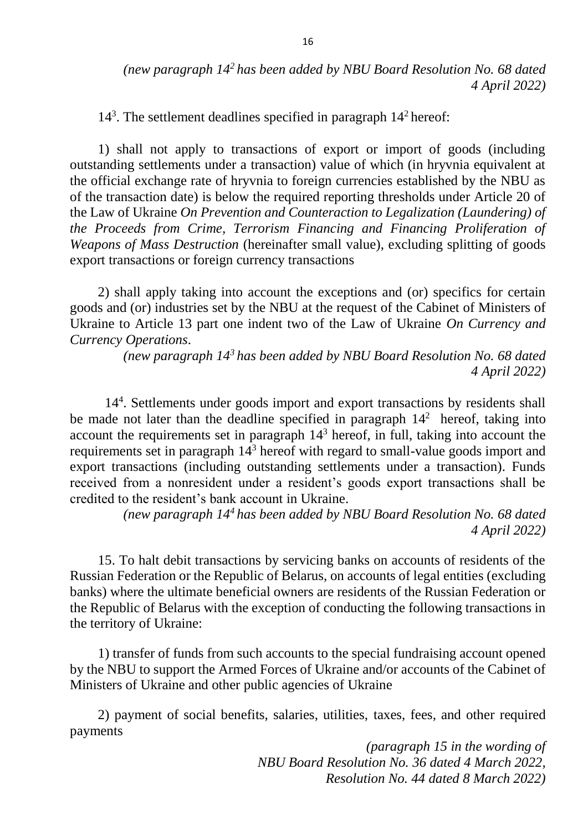14<sup>3</sup>. The settlement deadlines specified in paragraph 14<sup>2</sup> hereof:

1) shall not apply to transactions of export or import of goods (including outstanding settlements under a transaction) value of which (in hryvnia equivalent at the official exchange rate of hryvnia to foreign currencies established by the NBU as of the transaction date) is below the required reporting thresholds under Article 20 of the Law of Ukraine *On Prevention and Counteraction to Legalization (Laundering) of the Proceeds from Crime, Terrorism Financing and Financing Proliferation of Weapons of Mass Destruction* (hereinafter small value), excluding splitting of goods export transactions or foreign currency transactions

2) shall apply taking into account the exceptions and (or) specifics for certain goods and (or) industries set by the NBU at the request of the Cabinet of Ministers of Ukraine to Article 13 part one indent two of the Law of Ukraine *On Currency and Currency Operations*.

> *(new paragraph 14<sup>3</sup>has been added by NBU Board Resolution No. 68 dated 4 April 2022)*

14<sup>4</sup> . Settlements under goods import and export transactions by residents shall be made not later than the deadline specified in paragraph  $14<sup>2</sup>$  hereof, taking into account the requirements set in paragraph  $14<sup>3</sup>$  hereof, in full, taking into account the requirements set in paragraph 14<sup>3</sup> hereof with regard to small-value goods import and export transactions (including outstanding settlements under a transaction). Funds received from a nonresident under a resident's goods export transactions shall be credited to the resident's bank account in Ukraine.

> *(new paragraph 14<sup>4</sup>has been added by NBU Board Resolution No. 68 dated 4 April 2022)*

15. To halt debit transactions by servicing banks on accounts of residents of the Russian Federation or the Republic of Belarus, on accounts of legal entities (excluding banks) where the ultimate beneficial owners are residents of the Russian Federation or the Republic of Belarus with the exception of conducting the following transactions in the territory of Ukraine:

1) transfer of funds from such accounts to the special fundraising account opened by the NBU to support the Armed Forces of Ukraine and/or accounts of the Cabinet of Ministers of Ukraine and other public agencies of Ukraine

2) payment of social benefits, salaries, utilities, taxes, fees, and other required payments

> *(paragraph 15 in the wording of NBU Board Resolution No. 36 dated 4 March 2022, Resolution No. 44 dated 8 March 2022)*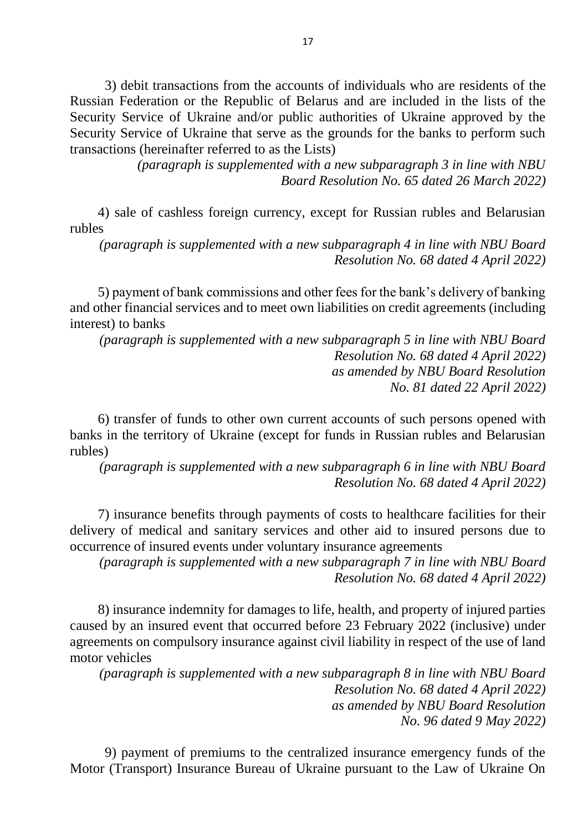3) debit transactions from the accounts of individuals who are residents of the Russian Federation or the Republic of Belarus and are included in the lists of the Security Service of Ukraine and/or public authorities of Ukraine approved by the Security Service of Ukraine that serve as the grounds for the banks to perform such transactions (hereinafter referred to as the Lists)

> *(paragraph is supplemented with a new subparagraph 3 in line with NBU Board Resolution No. 65 dated 26 March 2022)*

4) sale of cashless foreign currency, except for Russian rubles and Belarusian rubles

*(paragraph is supplemented with a new subparagraph 4 in line with NBU Board Resolution No. 68 dated 4 April 2022)*

5) payment of bank commissions and other fees for the bank's delivery of banking and other financial services and to meet own liabilities on credit agreements (including interest) to banks

*(paragraph is supplemented with a new subparagraph 5 in line with NBU Board Resolution No. 68 dated 4 April 2022) as amended by NBU Board Resolution No. 81 dated 22 April 2022)*

6) transfer of funds to other own current accounts of such persons opened with banks in the territory of Ukraine (except for funds in Russian rubles and Belarusian rubles)

*(paragraph is supplemented with a new subparagraph 6 in line with NBU Board Resolution No. 68 dated 4 April 2022)*

7) insurance benefits through payments of costs to healthcare facilities for their delivery of medical and sanitary services and other aid to insured persons due to occurrence of insured events under voluntary insurance agreements

*(paragraph is supplemented with a new subparagraph 7 in line with NBU Board Resolution No. 68 dated 4 April 2022)*

8) insurance indemnity for damages to life, health, and property of injured parties caused by an insured event that occurred before 23 February 2022 (inclusive) under agreements on compulsory insurance against civil liability in respect of the use of land motor vehicles

*(paragraph is supplemented with a new subparagraph 8 in line with NBU Board Resolution No. 68 dated 4 April 2022) as amended by NBU Board Resolution No. 96 dated 9 May 2022)*

9) payment of premiums to the centralized insurance emergency funds of the Motor (Transport) Insurance Bureau of Ukraine pursuant to the Law of Ukraine On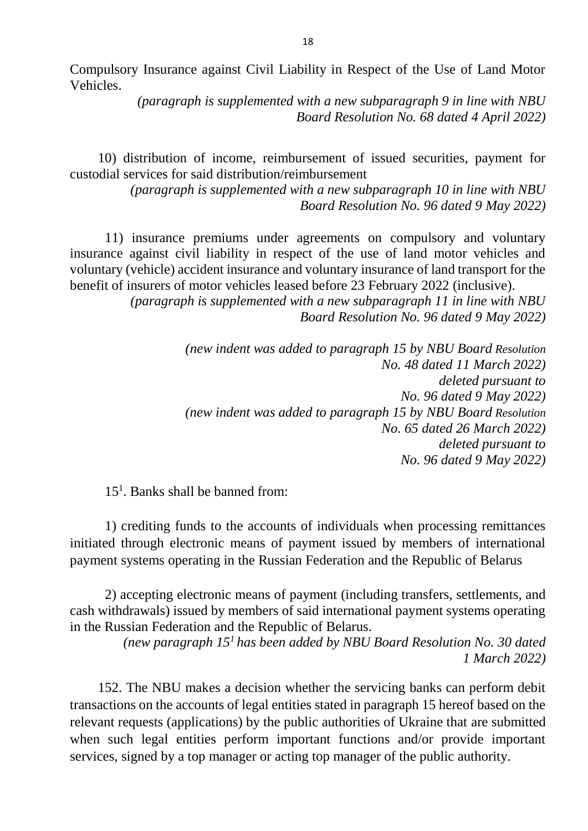Compulsory Insurance against Civil Liability in Respect of the Use of Land Motor Vehicles.

> *(paragraph is supplemented with a new subparagraph 9 in line with NBU Board Resolution No. 68 dated 4 April 2022)*

10) distribution of income, reimbursement of issued securities, payment for custodial services for said distribution/reimbursement

> *(paragraph is supplemented with a new subparagraph 10 in line with NBU Board Resolution No. 96 dated 9 May 2022)*

11) insurance premiums under agreements on compulsory and voluntary insurance against civil liability in respect of the use of land motor vehicles and voluntary (vehicle) accident insurance and voluntary insurance of land transport for the benefit of insurers of motor vehicles leased before 23 February 2022 (inclusive).

> *(paragraph is supplemented with a new subparagraph 11 in line with NBU Board Resolution No. 96 dated 9 May 2022)*

> > *(new indent was added to paragraph 15 by NBU Board Resolution No. 48 dated 11 March 2022) deleted pursuant to No. 96 dated 9 May 2022) (new indent was added to paragraph 15 by NBU Board Resolution No. 65 dated 26 March 2022) deleted pursuant to No. 96 dated 9 May 2022)*

15<sup>1</sup>. Banks shall be banned from:

1) crediting funds to the accounts of individuals when processing remittances initiated through electronic means of payment issued by members of international payment systems operating in the Russian Federation and the Republic of Belarus

2) accepting electronic means of payment (including transfers, settlements, and cash withdrawals) issued by members of said international payment systems operating in the Russian Federation and the Republic of Belarus.

> *(new paragraph 15<sup>1</sup>has been added by NBU Board Resolution No. 30 dated 1 March 2022)*

152. The NBU makes a decision whether the servicing banks can perform debit transactions on the accounts of legal entities stated in paragraph 15 hereof based on the relevant requests (applications) by the public authorities of Ukraine that are submitted when such legal entities perform important functions and/or provide important services, signed by a top manager or acting top manager of the public authority.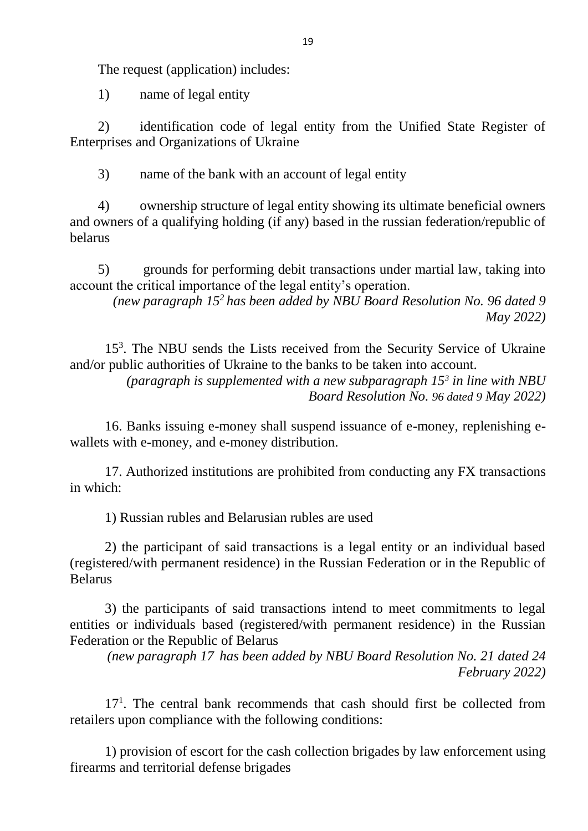The request (application) includes:

1) name of legal entity

2) identification code of legal entity from the Unified State Register of Enterprises and Organizations of Ukraine

3) name of the bank with an account of legal entity

4) ownership structure of legal entity showing its ultimate beneficial owners and owners of a qualifying holding (if any) based in the russian federation/republic of belarus

5) grounds for performing debit transactions under martial law, taking into account the critical importance of the legal entity's operation.

*(new paragraph 15<sup>2</sup>has been added by NBU Board Resolution No. 96 dated 9 May 2022)*

15<sup>3</sup> . The NBU sends the Lists received from the Security Service of Ukraine and/or public authorities of Ukraine to the banks to be taken into account.

*(paragraph is supplemented with a new subparagraph 15<sup>3</sup> in line with NBU Board Resolution No. 96 dated 9 May 2022)*

16. Banks issuing e-money shall suspend issuance of e-money, replenishing ewallets with e-money, and e-money distribution.

17. Authorized institutions are prohibited from conducting any FX transactions in which:

1) Russian rubles and Belarusian rubles are used

2) the participant of said transactions is a legal entity or an individual based (registered/with permanent residence) in the Russian Federation or in the Republic of Belarus

3) the participants of said transactions intend to meet commitments to legal entities or individuals based (registered/with permanent residence) in the Russian Federation or the Republic of Belarus

*(new paragraph 17 has been added by NBU Board Resolution No. 21 dated 24 February 2022)*

17<sup>1</sup>. The central bank recommends that cash should first be collected from retailers upon compliance with the following conditions:

1) provision of escort for the cash collection brigades by law enforcement using firearms and territorial defense brigades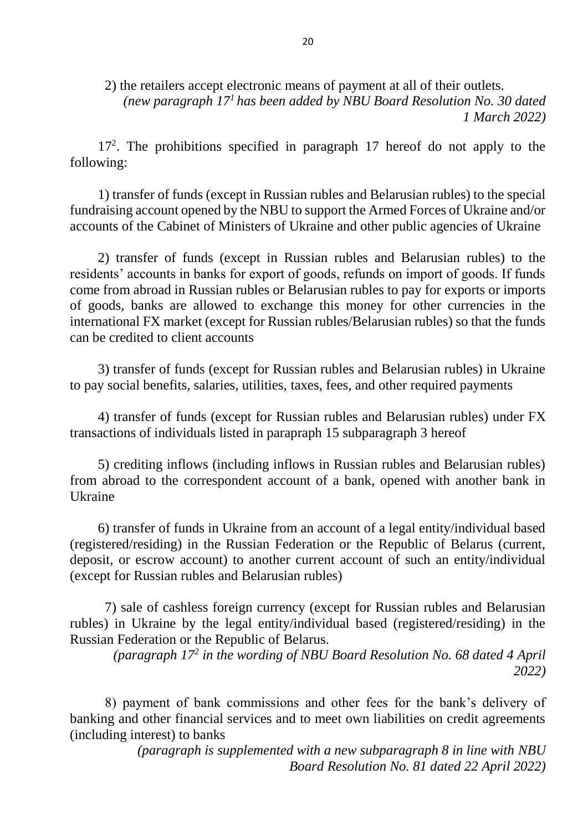2) the retailers accept electronic means of payment at all of their outlets. *(new paragraph 17<sup>1</sup>has been added by NBU Board Resolution No. 30 dated 1 March 2022)*

17<sup>2</sup> . The prohibitions specified in paragraph 17 hereof do not apply to the following:

1) transfer of funds (except in Russian rubles and Belarusian rubles) to the special fundraising account opened by the NBU to support the Armed Forces of Ukraine and/or accounts of the Cabinet of Ministers of Ukraine and other public agencies of Ukraine

2) transfer of funds (except in Russian rubles and Belarusian rubles) to the residents' accounts in banks for export of goods, refunds on import of goods. If funds come from abroad in Russian rubles or Belarusian rubles to pay for exports or imports of goods, banks are allowed to exchange this money for other currencies in the international FX market (except for Russian rubles/Belarusian rubles) so that the funds can be credited to client accounts

3) transfer of funds (except for Russian rubles and Belarusian rubles) in Ukraine to pay social benefits, salaries, utilities, taxes, fees, and other required payments

4) transfer of funds (except for Russian rubles and Belarusian rubles) under FX transactions of individuals listed in parapraph 15 subparagraph 3 hereof

5) crediting inflows (including inflows in Russian rubles and Belarusian rubles) from abroad to the correspondent account of a bank, opened with another bank in Ukraine

6) transfer of funds in Ukraine from an account of a legal entity/individual based (registered/residing) in the Russian Federation or the Republic of Belarus (current, deposit, or escrow account) to another current account of such an entity/individual (except for Russian rubles and Belarusian rubles)

7) sale of cashless foreign currency (except for Russian rubles and Belarusian rubles) in Ukraine by the legal entity/individual based (registered/residing) in the Russian Federation or the Republic of Belarus.

*(paragraph 17<sup>2</sup> in the wording of NBU Board Resolution No. 68 dated 4 April 2022)*

8) payment of bank commissions and other fees for the bank's delivery of banking and other financial services and to meet own liabilities on credit agreements (including interest) to banks

> *(paragraph is supplemented with a new subparagraph 8 in line with NBU Board Resolution No. 81 dated 22 April 2022)*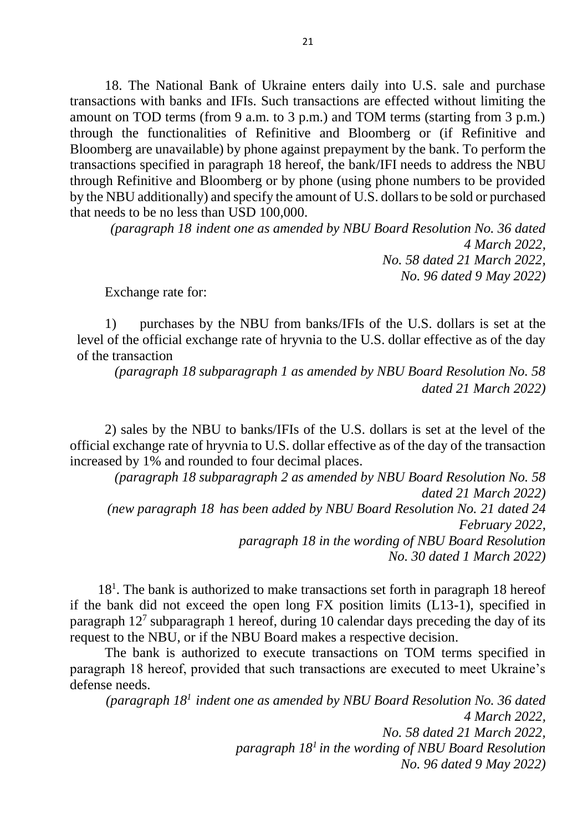18. The National Bank of Ukraine enters daily into U.S. sale and purchase transactions with banks and IFIs. Such transactions are effected without limiting the amount on TOD terms (from 9 a.m. to 3 p.m.) and TOM terms (starting from 3 p.m.) through the functionalities of Refinitive and Bloomberg or (if Refinitive and Bloomberg are unavailable) by phone against prepayment by the bank. To perform the transactions specified in paragraph 18 hereof, the bank/IFI needs to address the NBU through Refinitive and Bloomberg or by phone (using phone numbers to be provided by the NBU additionally) and specify the amount of U.S. dollars to be sold or purchased that needs to be no less than USD 100,000.

*(paragraph 18 indent one as amended by NBU Board Resolution No. 36 dated 4 March 2022, No. 58 dated 21 March 2022, No. 96 dated 9 May 2022)*

Exchange rate for:

1) purchases by the NBU from banks/IFIs of the U.S. dollars is set at the level of the official exchange rate of hryvnia to the U.S. dollar effective as of the day of the transaction

*(paragraph 18 subparagraph 1 as amended by NBU Board Resolution No. 58 dated 21 March 2022)*

2) sales by the NBU to banks/IFIs of the U.S. dollars is set at the level of the official exchange rate of hryvnia to U.S. dollar effective as of the day of the transaction increased by 1% and rounded to four decimal places.

*(paragraph 18 subparagraph 2 as amended by NBU Board Resolution No. 58 dated 21 March 2022) (new paragraph 18 has been added by NBU Board Resolution No. 21 dated 24 February 2022, paragraph 18 in the wording of NBU Board Resolution No. 30 dated 1 March 2022)*

18<sup>1</sup> . The bank is authorized to make transactions set forth in paragraph 18 hereof if the bank did not exceed the open long FX position limits (L13-1), specified in paragraph 12<sup>7</sup> subparagraph 1 hereof, during 10 calendar days preceding the day of its request to the NBU, or if the NBU Board makes a respective decision.

The bank is authorized to execute transactions on TOM terms specified in paragraph 18 hereof, provided that such transactions are executed to meet Ukraine's defense needs.

*(paragraph 18<sup>1</sup>indent one as amended by NBU Board Resolution No. 36 dated 4 March 2022, No. 58 dated 21 March 2022, paragraph 18<sup>1</sup>in the wording of NBU Board Resolution No. 96 dated 9 May 2022)*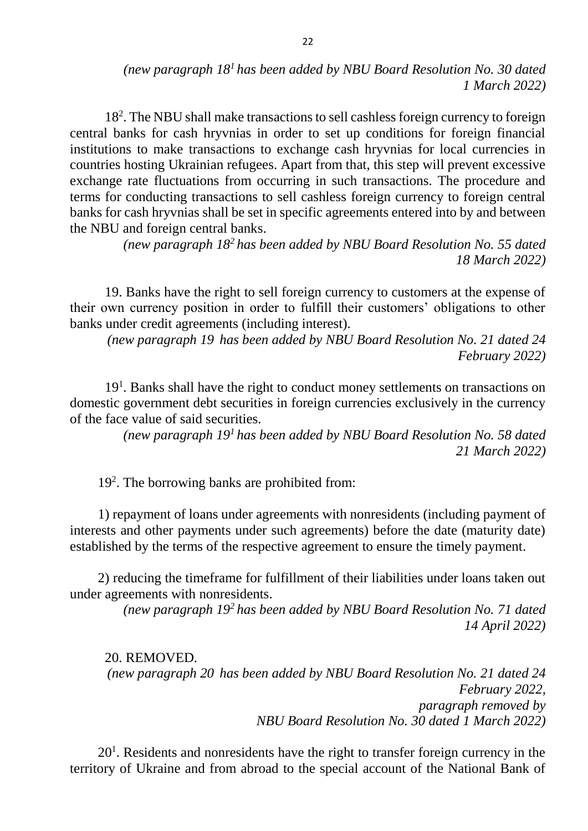## *(new paragraph 18<sup>1</sup>has been added by NBU Board Resolution No. 30 dated 1 March 2022)*

18<sup>2</sup> . The NBU shall make transactions to sell cashless foreign currency to foreign central banks for cash hryvnias in order to set up conditions for foreign financial institutions to make transactions to exchange cash hryvnias for local currencies in countries hosting Ukrainian refugees. Apart from that, this step will prevent excessive exchange rate fluctuations from occurring in such transactions. The procedure and terms for conducting transactions to sell cashless foreign currency to foreign central banks for cash hryvnias shall be set in specific agreements entered into by and between the NBU and foreign central banks.

> *(new paragraph 18<sup>2</sup>has been added by NBU Board Resolution No. 55 dated 18 March 2022)*

19. Banks have the right to sell foreign currency to customers at the expense of their own currency position in order to fulfill their customers' obligations to other banks under credit agreements (including interest).

*(new paragraph 19 has been added by NBU Board Resolution No. 21 dated 24 February 2022)*

19<sup>1</sup>. Banks shall have the right to conduct money settlements on transactions on domestic government debt securities in foreign currencies exclusively in the currency of the face value of said securities.

*(new paragraph 19<sup>1</sup>has been added by NBU Board Resolution No. 58 dated 21 March 2022)*

19<sup>2</sup> . The borrowing banks are prohibited from:

1) repayment of loans under agreements with nonresidents (including payment of interests and other payments under such agreements) before the date (maturity date) established by the terms of the respective agreement to ensure the timely payment.

2) reducing the timeframe for fulfillment of their liabilities under loans taken out under agreements with nonresidents.

> *(new paragraph 19<sup>2</sup>has been added by NBU Board Resolution No. 71 dated 14 April 2022)*

20. REMOVED. *(new paragraph 20 has been added by NBU Board Resolution No. 21 dated 24 February 2022, paragraph removed by NBU Board Resolution No. 30 dated 1 March 2022)*

 $20<sup>1</sup>$ . Residents and nonresidents have the right to transfer foreign currency in the territory of Ukraine and from abroad to the special account of the National Bank of